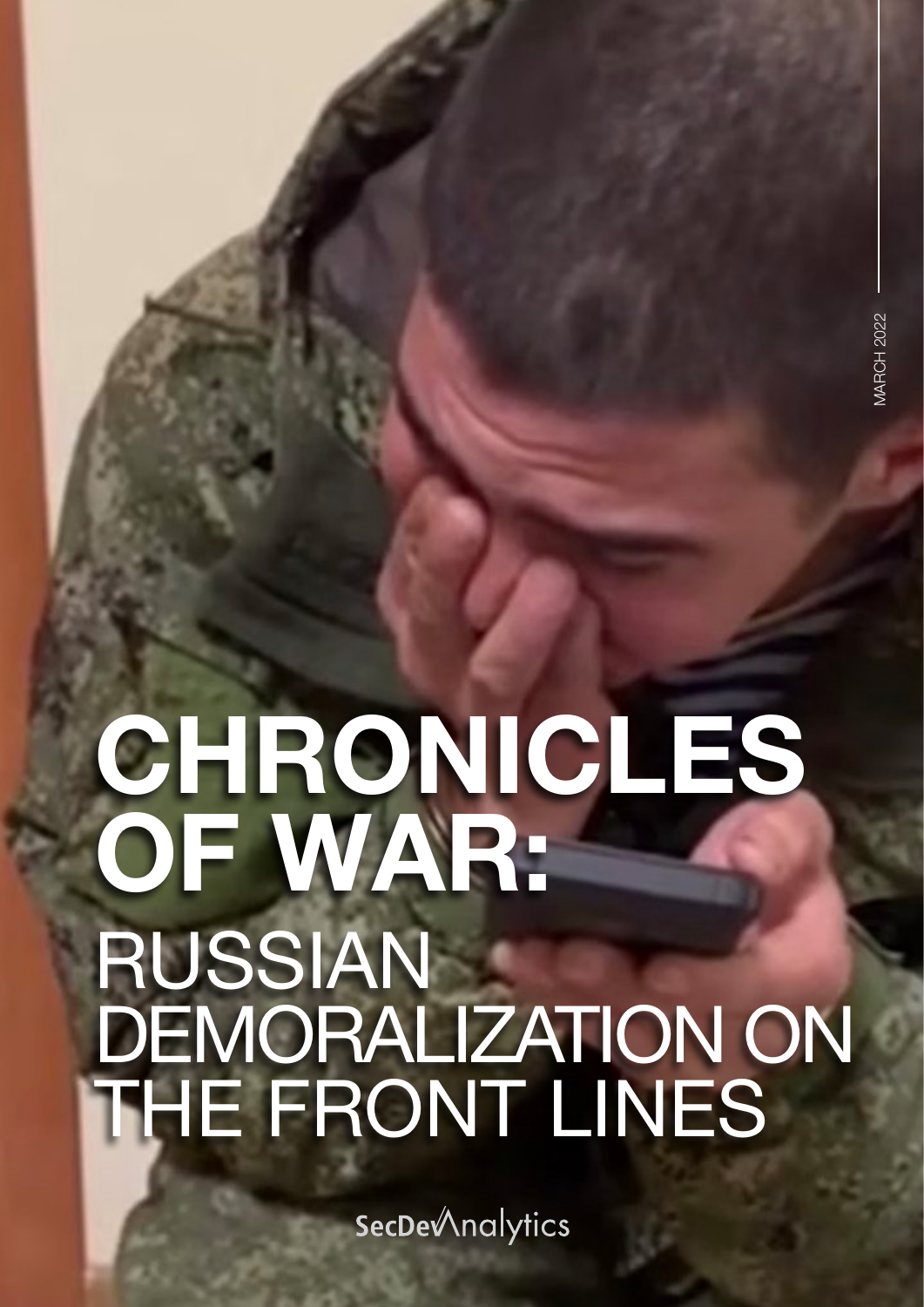## CHRONICLES OF WAR: RUSSIAN DEMORALIZATION ON THE FRONT LINES

**SecDe***Analytics*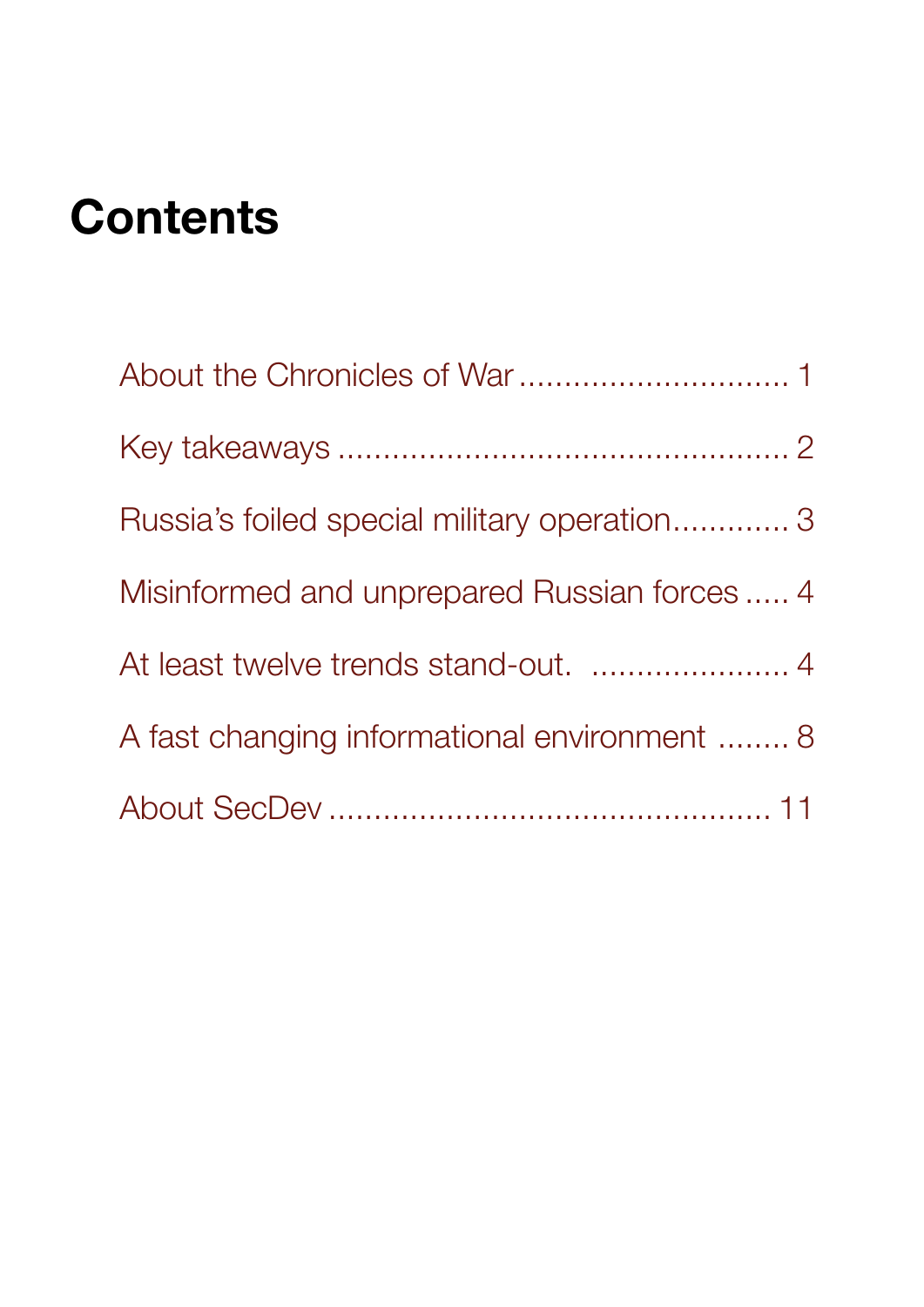### **Contents**

| Russia's foiled special military operation 3 |  |
|----------------------------------------------|--|
| Misinformed and unprepared Russian forces  4 |  |
|                                              |  |
| A fast changing informational environment  8 |  |
|                                              |  |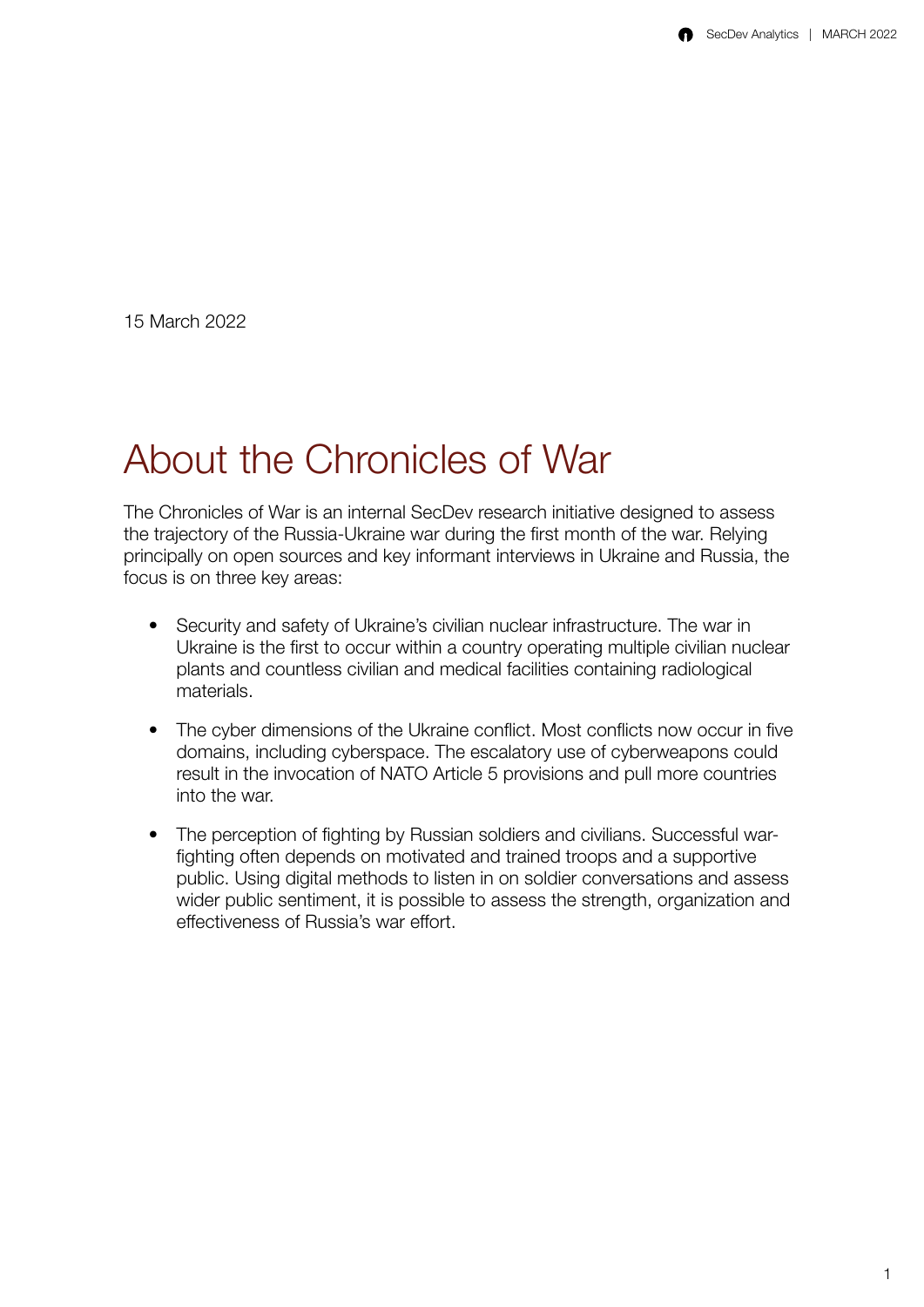<span id="page-2-0"></span>15 March 2022

#### About the Chronicles of War

The Chronicles of War is an internal SecDev research initiative designed to assess the trajectory of the Russia-Ukraine war during the first month of the war. Relying principally on open sources and key informant interviews in Ukraine and Russia, the focus is on three key areas:

- Security and safety of Ukraine's civilian nuclear infrastructure. The war in Ukraine is the first to occur within a country operating multiple civilian nuclear plants and countless civilian and medical facilities containing radiological materials.
- The cyber dimensions of the Ukraine conflict. Most conflicts now occur in five domains, including cyberspace. The escalatory use of cyberweapons could result in the invocation of NATO Article 5 provisions and pull more countries into the war.
- The perception of fighting by Russian soldiers and civilians. Successful warfighting often depends on motivated and trained troops and a supportive public. Using digital methods to listen in on soldier conversations and assess wider public sentiment, it is possible to assess the strength, organization and effectiveness of Russia's war effort.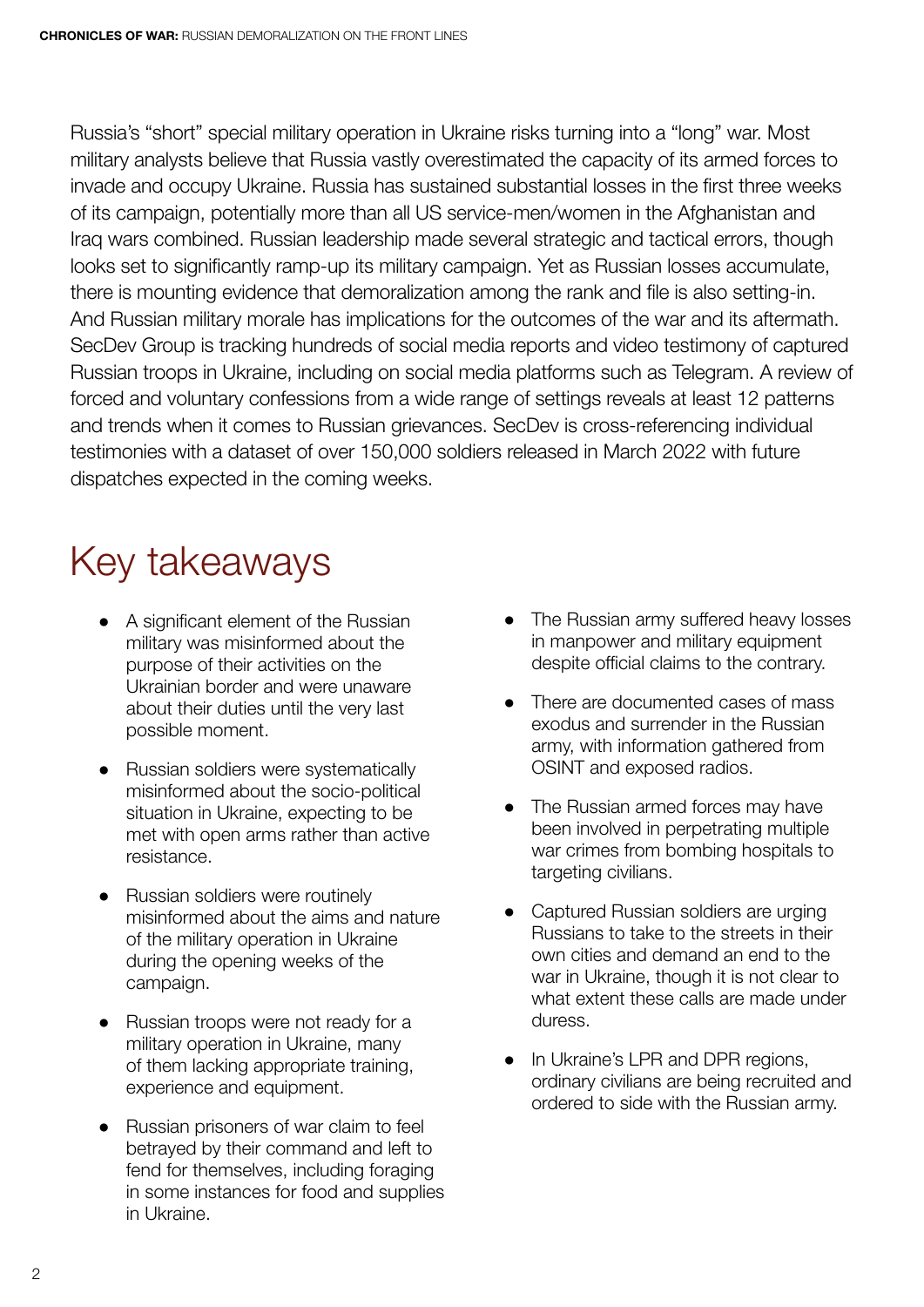<span id="page-3-0"></span>Russia's "short" special military operation in Ukraine risks turning into a "long" war. Most military analysts believe that Russia vastly overestimated the capacity of its armed forces to invade and occupy Ukraine. Russia has sustained substantial losses in the first three weeks of its campaign, potentially more than all US service-men/women in the Afghanistan and Iraq wars combined. Russian leadership made several strategic and tactical errors, though looks set to significantly ramp-up its military campaign. Yet as Russian losses accumulate, there is mounting evidence that demoralization among the rank and file is also setting-in. And Russian military morale has implications for the outcomes of the war and its aftermath. SecDev Group is tracking hundreds of social media reports and video testimony of captured Russian troops in Ukraine, including on social media platforms such as Telegram. A review of forced and voluntary confessions from a wide range of settings reveals at least 12 patterns and trends when it comes to Russian grievances. SecDev is cross-referencing individual testimonies with a dataset of over 150,000 soldiers released in March 2022 with future dispatches expected in the coming weeks.

#### Key takeaways

- ● A significant element of the Russian military was misinformed about the purpose of their activities on the Ukrainian border and were unaware about their duties until the very last possible moment.
- Russian soldiers were systematically misinformed about the socio-political situation in Ukraine, expecting to be met with open arms rather than active resistance.
- Russian soldiers were routinely misinformed about the aims and nature of the military operation in Ukraine during the opening weeks of the campaign.
- Russian troops were not ready for a military operation in Ukraine, many of them lacking appropriate training, experience and equipment.
- Russian prisoners of war claim to feel betrayed by their command and left to fend for themselves, including foraging in some instances for food and supplies in Ukraine.
- The Russian army suffered heavy losses in manpower and military equipment despite official claims to the contrary.
- There are documented cases of mass exodus and surrender in the Russian army, with information gathered from OSINT and exposed radios.
- The Russian armed forces may have been involved in perpetrating multiple war crimes from bombing hospitals to targeting civilians.
- Captured Russian soldiers are urging Russians to take to the streets in their own cities and demand an end to the war in Ukraine, though it is not clear to what extent these calls are made under duress.
- In Ukraine's LPR and DPR regions, ordinary civilians are being recruited and ordered to side with the Russian army.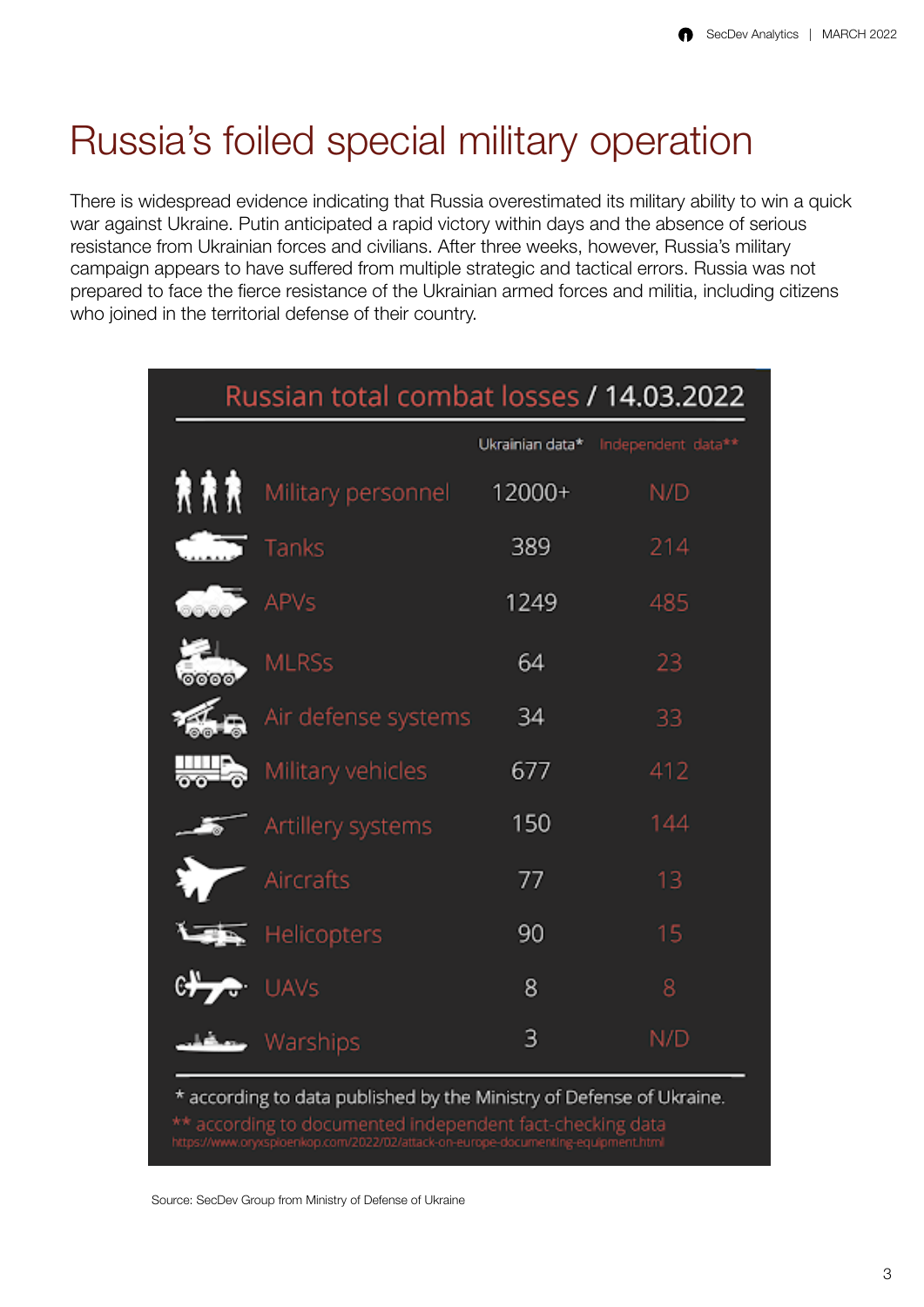#### <span id="page-4-0"></span>Russia's foiled special military operation

There is widespread evidence indicating that Russia overestimated its military ability to win a quick war against Ukraine. Putin anticipated a rapid victory within days and the absence of serious resistance from Ukrainian forces and civilians. After three weeks, however, Russia's military campaign appears to have suffered from multiple strategic and tactical errors. Russia was not prepared to face the fierce resistance of the Ukrainian armed forces and militia, including citizens who joined in the territorial defense of their country.

| Russian total combat losses / 14.03.2022                                                                                                                                                                               |                     |                 |                    |  |  |
|------------------------------------------------------------------------------------------------------------------------------------------------------------------------------------------------------------------------|---------------------|-----------------|--------------------|--|--|
|                                                                                                                                                                                                                        |                     | Ukrainian data* | Independent data** |  |  |
| 食食食                                                                                                                                                                                                                    | Military personnel  | 12000+          | N/D                |  |  |
|                                                                                                                                                                                                                        | Tanks               | 389             | 214                |  |  |
|                                                                                                                                                                                                                        | <b>APVs</b>         | 1249            | 485                |  |  |
| oooo.                                                                                                                                                                                                                  | <b>MLRSs</b>        | 64              | 23                 |  |  |
|                                                                                                                                                                                                                        | Air defense systems | 34              | 33                 |  |  |
| ₩b                                                                                                                                                                                                                     | Military vehicles   | 677             | 412                |  |  |
|                                                                                                                                                                                                                        | Artillery systems   | 150             | 144                |  |  |
|                                                                                                                                                                                                                        | Aircrafts           | 77              | 13                 |  |  |
|                                                                                                                                                                                                                        | <b>Helicopters</b>  | 90              | 15                 |  |  |
| $\mathbb{C}$                                                                                                                                                                                                           | UAVS                | 8               | 8                  |  |  |
|                                                                                                                                                                                                                        |                     | 3               | N/D                |  |  |
| * according to data published by the Ministry of Defense of Ukraine.<br>** according to documented independent fact-checking data<br>https://www.oryxsploenkop.com/2022/02/attack-on-europe-documenting-equipment.html |                     |                 |                    |  |  |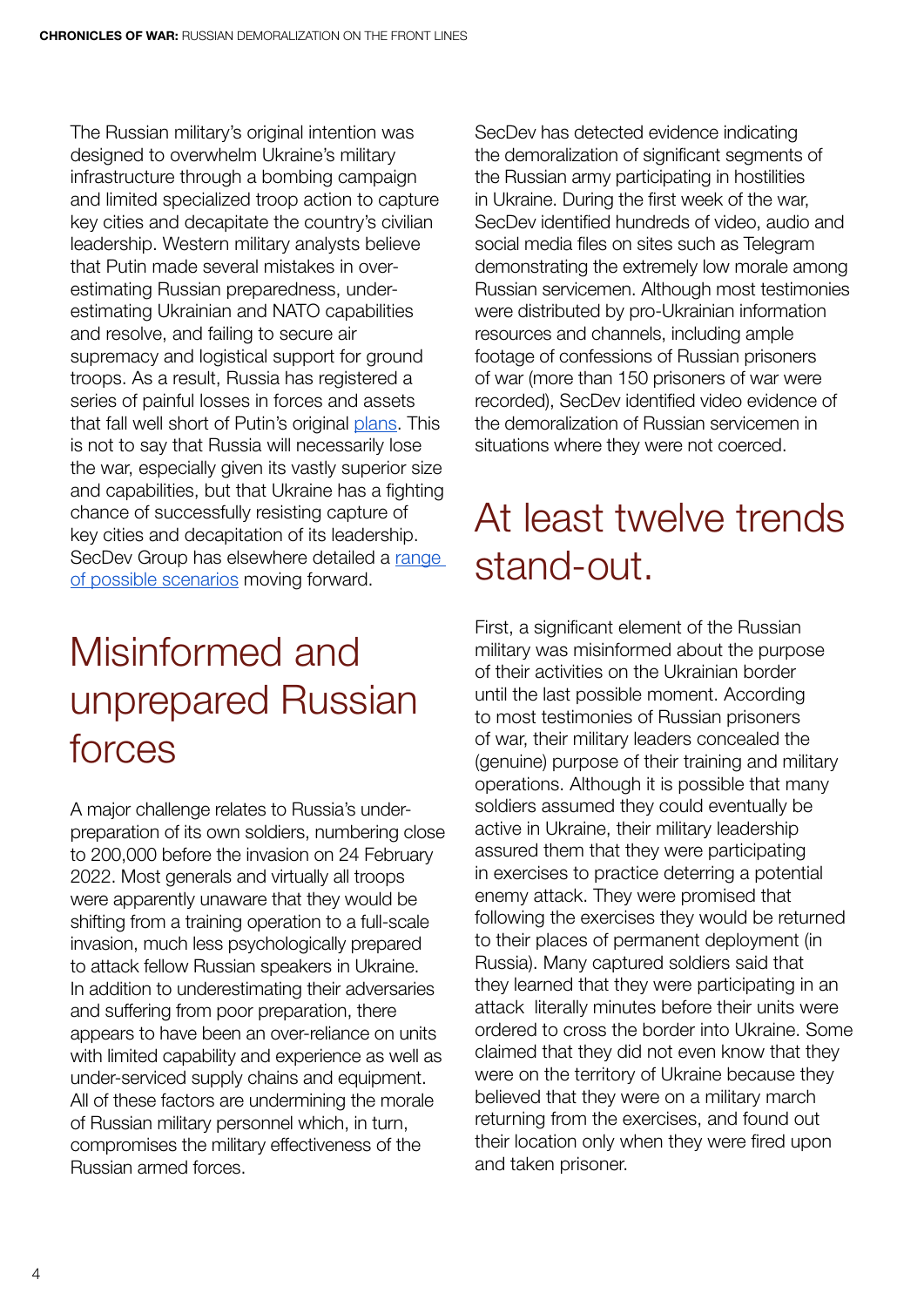<span id="page-5-0"></span>The Russian military's original intention was designed to overwhelm Ukraine's military infrastructure through a bombing campaign and limited specialized troop action to capture key cities and decapitate the country's civilian leadership. Western military analysts believe that Putin made several mistakes in overestimating Russian preparedness, underestimating Ukrainian and NATO capabilities and resolve, and failing to secure air supremacy and logistical support for ground troops. As a result, Russia has registered a series of painful losses in forces and assets that fall well short of Putin's original [plans.](https://www.youtube.com/watch?v=KBEmv6TP_Vo) This is not to say that Russia will necessarily lose the war, especially given its vastly superior size and capabilities, but that Ukraine has a fighting chance of successfully resisting capture of key cities and decapitation of its leadership. SecDey Group has elsewhere detailed a range [of possible scenarios](https://ipolitics.ca/2022/03/07/five-possible-scenarios-in-the-ukraine-russia-war/) moving forward.

#### Misinformed and unprepared Russian forces

A major challenge relates to Russia's underpreparation of its own soldiers, numbering close to 200,000 before the invasion on 24 February 2022. Most generals and virtually all troops were apparently unaware that they would be shifting from a training operation to a full-scale invasion, much less psychologically prepared to attack fellow Russian speakers in Ukraine. In addition to underestimating their adversaries and suffering from poor preparation, there appears to have been an over-reliance on units with limited capability and experience as well as under-serviced supply chains and equipment. All of these factors are undermining the morale of Russian military personnel which, in turn, compromises the military effectiveness of the Russian armed forces.

SecDev has detected evidence indicating the demoralization of significant segments of the Russian army participating in hostilities in Ukraine. During the first week of the war, SecDev identified hundreds of video, audio and social media files on sites such as Telegram demonstrating the extremely low morale among Russian servicemen. Although most testimonies were distributed by pro-Ukrainian information resources and channels, including ample footage of confessions of Russian prisoners of war (more than 150 prisoners of war were recorded), SecDev identified video evidence of the demoralization of Russian servicemen in situations where they were not coerced.

#### At least twelve trends stand-out.

First, a significant element of the Russian military was misinformed about the purpose of their activities on the Ukrainian border until the last possible moment. According to most testimonies of Russian prisoners of war, their military leaders concealed the (genuine) purpose of their training and military operations. Although it is possible that many soldiers assumed they could eventually be active in Ukraine, their military leadership assured them that they were participating in exercises to practice deterring a potential enemy attack. They were promised that following the exercises they would be returned to their places of permanent deployment (in Russia). Many captured soldiers said that they learned that they were participating in an attack literally minutes before their units were ordered to cross the border into Ukraine. Some claimed that they did not even know that they were on the territory of Ukraine because they believed that they were on a military march returning from the exercises, and found out their location only when they were fired upon and taken prisoner.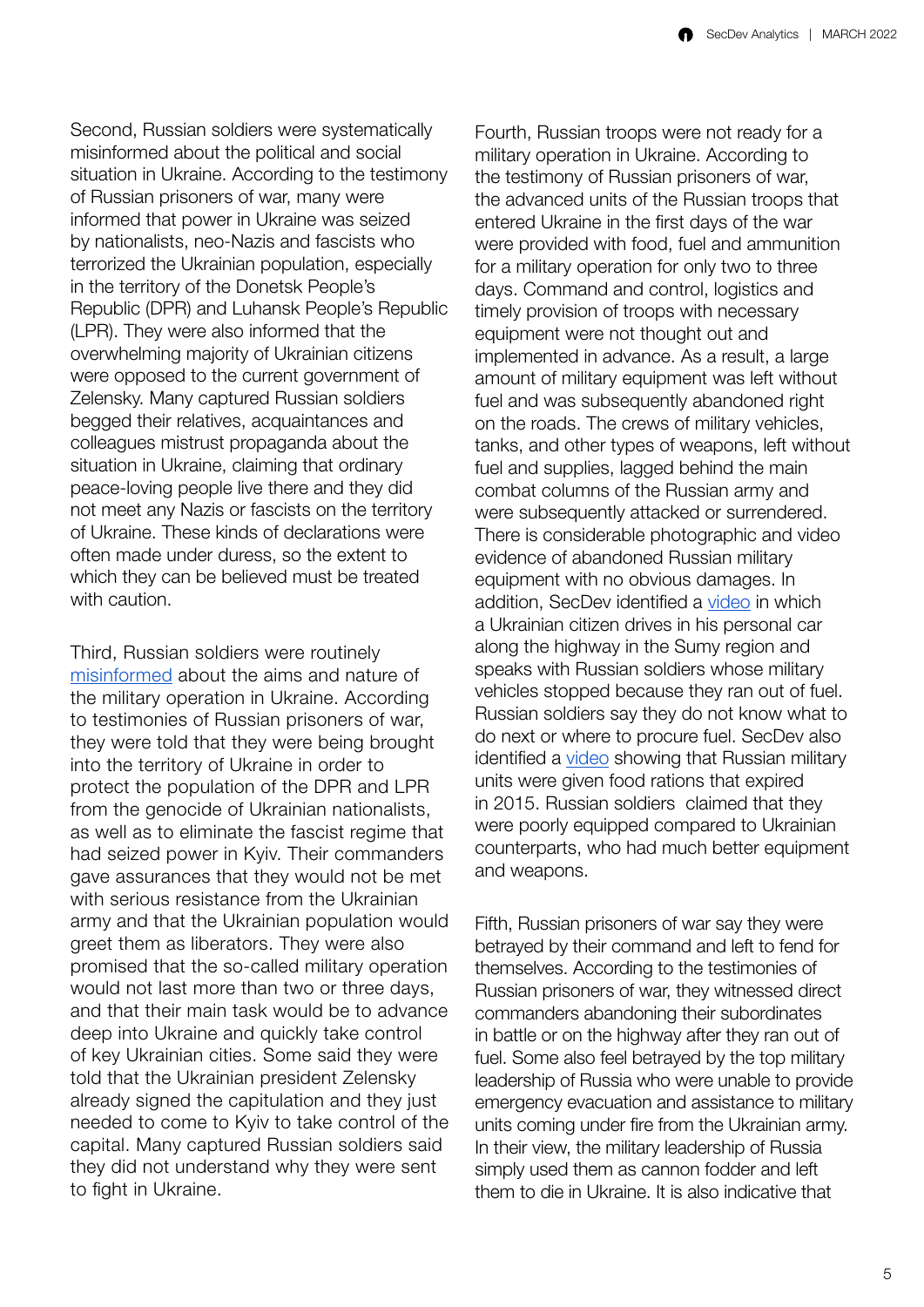Second, Russian soldiers were systematically misinformed about the political and social situation in Ukraine. According to the testimony of Russian prisoners of war, many were informed that power in Ukraine was seized by nationalists, neo-Nazis and fascists who terrorized the Ukrainian population, especially in the territory of the Donetsk People's Republic (DPR) and Luhansk People's Republic (LPR). They were also informed that the overwhelming majority of Ukrainian citizens were opposed to the current government of Zelensky. Many captured Russian soldiers begged their relatives, acquaintances and colleagues mistrust propaganda about the situation in Ukraine, claiming that ordinary peace-loving people live there and they did not meet any Nazis or fascists on the territory of Ukraine. These kinds of declarations were often made under duress, so the extent to which they can be believed must be treated with caution.

Third, Russian soldiers were routinely [misinformed](https://t.me/uniannet/33585) about the aims and nature of the military operation in Ukraine. According to testimonies of Russian prisoners of war, they were told that they were being brought into the territory of Ukraine in order to protect the population of the DPR and LPR from the genocide of Ukrainian nationalists, as well as to eliminate the fascist regime that had seized power in Kyiv. Their commanders gave assurances that they would not be met with serious resistance from the Ukrainian army and that the Ukrainian population would greet them as liberators. They were also promised that the so-called military operation would not last more than two or three days, and that their main task would be to advance deep into Ukraine and quickly take control of key Ukrainian cities. Some said they were told that the Ukrainian president Zelensky already signed the capitulation and they just needed to come to Kyiv to take control of the capital. Many captured Russian soldiers said they did not understand why they were sent to fight in Ukraine.

Fourth, Russian troops were not ready for a military operation in Ukraine. According to the testimony of Russian prisoners of war, the advanced units of the Russian troops that entered Ukraine in the first days of the war were provided with food, fuel and ammunition for a military operation for only two to three days. Command and control, logistics and timely provision of troops with necessary equipment were not thought out and implemented in advance. As a result, a large amount of military equipment was left without fuel and was subsequently abandoned right on the roads. The crews of military vehicles, tanks, and other types of weapons, left without fuel and supplies, lagged behind the main combat columns of the Russian army and were subsequently attacked or surrendered. There is considerable photographic and video evidence of abandoned Russian military equipment with no obvious damages. In addition, SecDev identified a [video](https://t.me/uniannet/32320) in which a Ukrainian citizen drives in his personal car along the highway in the Sumy region and speaks with Russian soldiers whose military vehicles stopped because they ran out of fuel. Russian soldiers say they do not know what to do next or where to procure fuel. SecDev also identified a [video](https://t.me/uniannet/33609) showing that Russian military units were given food rations that expired in 2015. Russian soldiers claimed that they were poorly equipped compared to Ukrainian counterparts, who had much better equipment and weapons.

Fifth, Russian prisoners of war say they were betrayed by their command and left to fend for themselves. According to the testimonies of Russian prisoners of war, they witnessed direct commanders abandoning their subordinates in battle or on the highway after they ran out of fuel. Some also feel betrayed by the top military leadership of Russia who were unable to provide emergency evacuation and assistance to military units coming under fire from the Ukrainian army. In their view, the military leadership of Russia simply used them as cannon fodder and left them to die in Ukraine. It is also indicative that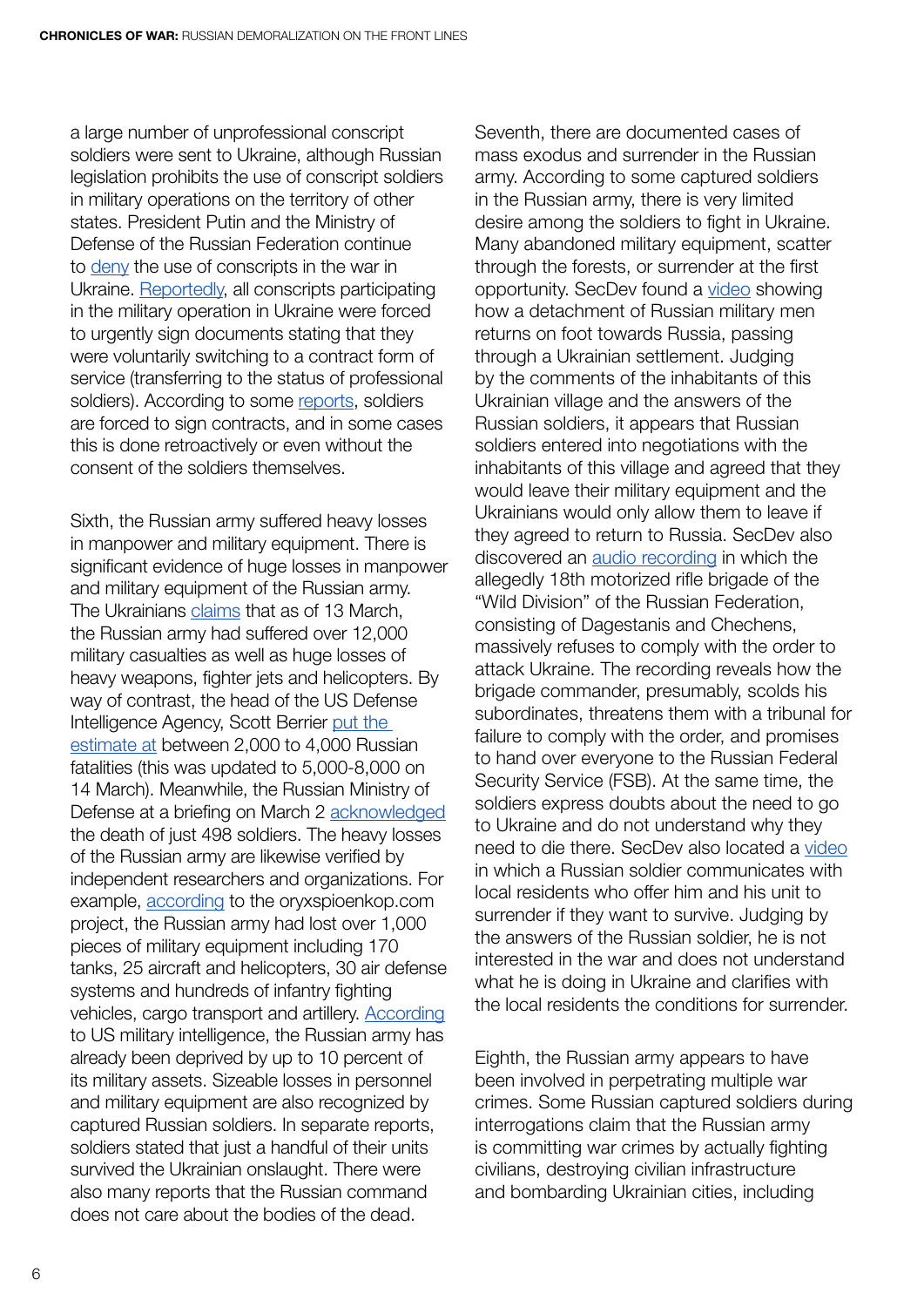a large number of unprofessional conscript soldiers were sent to Ukraine, although Russian legislation prohibits the use of conscript soldiers in military operations on the territory of other states. President Putin and the Ministry of Defense of the Russian Federation continue to [deny](https://www.kommersant.ru/doc/5249720) the use of conscripts in the war in Ukraine. [Reportedly,](https://t.me/uniannet/31235) all conscripts participating in the military operation in Ukraine were forced to urgently sign documents stating that they were voluntarily switching to a contract form of service (transferring to the status of professional soldiers). According to some [reports,](https://t.me/uniannet/31327) soldiers are forced to sign contracts, and in some cases this is done retroactively or even without the consent of the soldiers themselves.

Sixth, the Russian army suffered heavy losses in manpower and military equipment. There is significant evidence of huge losses in manpower and military equipment of the Russian army. The Ukrainians [claims](https://t.me/uniannet/34911) that as of 13 March, the Russian army had suffered over 12,000 military casualties as well as huge losses of heavy weapons, fighter jets and helicopters. By way of contrast, the head of the US Defense Intelligence Agency, Scott Berrier [put the](https://news.bigmir.net/world/6253829-pentagon-ocenil-poteri-rf-v-voine-protiv-ukrainy)  [estimate at](https://news.bigmir.net/world/6253829-pentagon-ocenil-poteri-rf-v-voine-protiv-ukrainy) between 2,000 to 4,000 Russian fatalities (this was updated to 5,000-8,000 on 14 March). Meanwhile, the Russian Ministry of Defense at a briefing on March 2 [acknowledged](https://www.bbcrussian.com/russian/news-60593311) the death of just 498 soldiers. The heavy losses of the Russian army are likewise verified by independent researchers and organizations. For example, [according](https://www.oryxspioenkop.com/2022/02/attack-on-europe-documenting-equipment.html) to the oryxspioenkop.com project, the Russian army had lost over 1,000 pieces of military equipment including 170 tanks, 25 aircraft and helicopters, 30 air defense systems and hundreds of infantry fighting vehicles, cargo transport and artillery. [According](https://edition.cnn.com/europe/live-news/ukraine-russia-putin-news-03-08-22/h_92af4a94ea8af921cc9ad6ae50d4bfea) to US military intelligence, the Russian army has already been deprived by up to 10 percent of its military assets. Sizeable losses in personnel and military equipment are also recognized by captured Russian soldiers. In separate reports, soldiers stated that just a handful of their units survived the Ukrainian onslaught. There were also many reports that the Russian command does not care about the bodies of the dead.

Seventh, there are documented cases of mass exodus and surrender in the Russian army. According to some captured soldiers in the Russian army, there is very limited desire among the soldiers to fight in Ukraine. Many abandoned military equipment, scatter through the forests, or surrender at the first opportunity. SecDev found a [video](https://t.me/uniannet/33601) showing how a detachment of Russian military men returns on foot towards Russia, passing through a Ukrainian settlement. Judging by the comments of the inhabitants of this Ukrainian village and the answers of the Russian soldiers, it appears that Russian soldiers entered into negotiations with the inhabitants of this village and agreed that they would leave their military equipment and the Ukrainians would only allow them to leave if they agreed to return to Russia. SecDev also discovered an [audio recording](https://t.me/uniannet/32973) in which the allegedly 18th motorized rifle brigade of the "Wild Division" of the Russian Federation, consisting of Dagestanis and Chechens, massively refuses to comply with the order to attack Ukraine. The recording reveals how the brigade commander, presumably, scolds his subordinates, threatens them with a tribunal for failure to comply with the order, and promises to hand over everyone to the Russian Federal Security Service (FSB). At the same time, the soldiers express doubts about the need to go to Ukraine and do not understand why they need to die there. SecDev also located a [video](https://t.me/uniannet/32143) in which a Russian soldier communicates with local residents who offer him and his unit to surrender if they want to survive. Judging by the answers of the Russian soldier, he is not interested in the war and does not understand what he is doing in Ukraine and clarifies with the local residents the conditions for surrender.

Eighth, the Russian army appears to have been involved in perpetrating multiple war crimes. Some Russian captured soldiers during interrogations claim that the Russian army is committing war crimes by actually fighting civilians, destroying civilian infrastructure and bombarding Ukrainian cities, including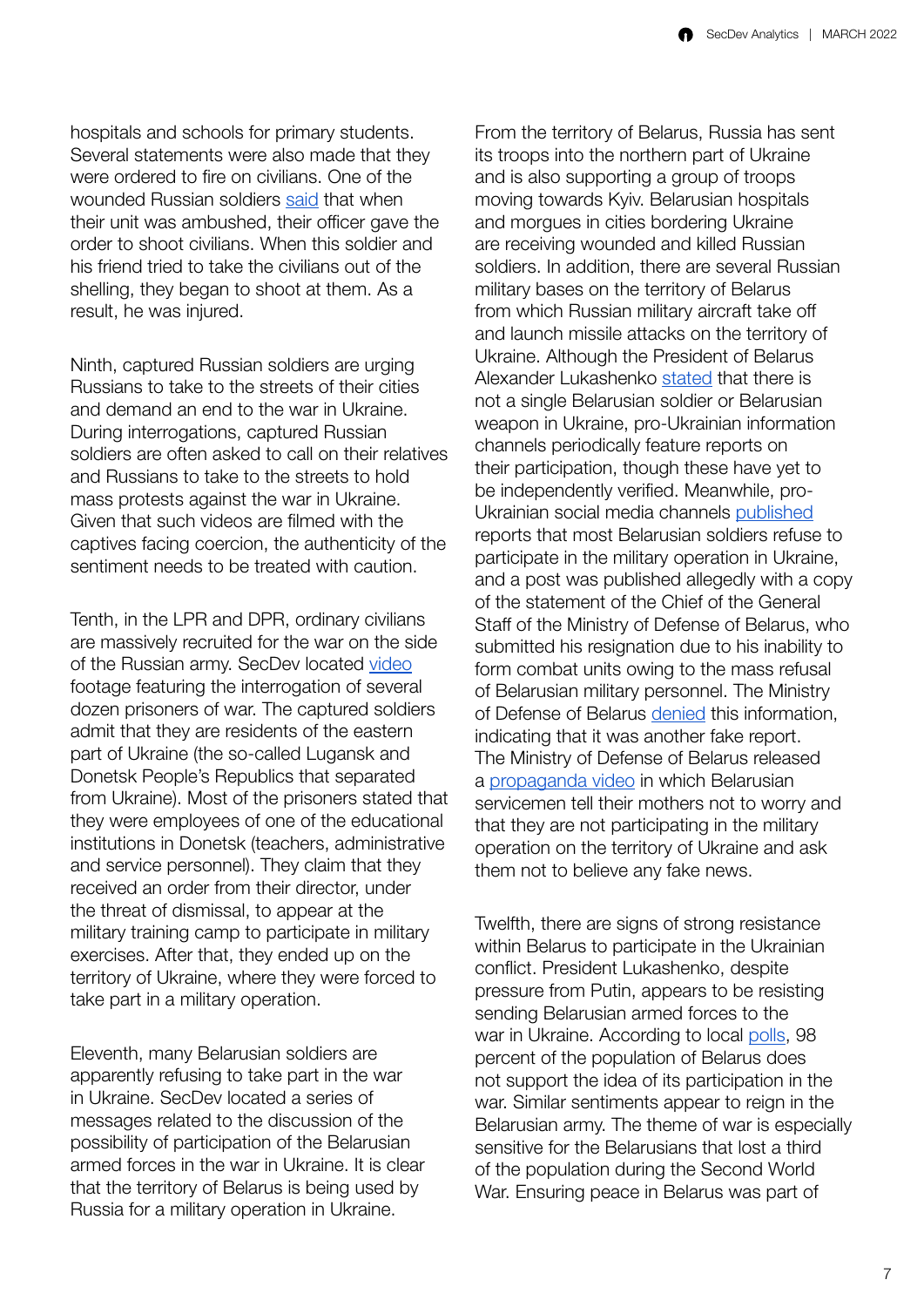hospitals and schools for primary students. Several statements were also made that they were ordered to fire on civilians. One of the wounded Russian soldiers [said](https://t.me/uniannet/31934) that when their unit was ambushed, their officer gave the order to shoot civilians. When this soldier and his friend tried to take the civilians out of the shelling, they began to shoot at them. As a result, he was injured.

Ninth, captured Russian soldiers are urging Russians to take to the streets of their cities and demand an end to the war in Ukraine. During interrogations, captured Russian soldiers are often asked to call on their relatives and Russians to take to the streets to hold mass protests against the war in Ukraine. Given that such videos are filmed with the captives facing coercion, the authenticity of the sentiment needs to be treated with caution.

Tenth, in the LPR and DPR, ordinary civilians are massively recruited for the war on the side of the Russian army. SecDev located [video](https://t.me/uniannet/33978) footage featuring the interrogation of several dozen prisoners of war. The captured soldiers admit that they are residents of the eastern part of Ukraine (the so-called Lugansk and Donetsk People's Republics that separated from Ukraine). Most of the prisoners stated that they were employees of one of the educational institutions in Donetsk (teachers, administrative and service personnel). They claim that they received an order from their director, under the threat of dismissal, to appear at the military training camp to participate in military exercises. After that, they ended up on the territory of Ukraine, where they were forced to take part in a military operation.

Eleventh, many Belarusian soldiers are apparently refusing to take part in the war in Ukraine. SecDev located a series of messages related to the discussion of the possibility of participation of the Belarusian armed forces in the war in Ukraine. It is clear that the territory of Belarus is being used by Russia for a military operation in Ukraine.

From the territory of Belarus, Russia has sent its troops into the northern part of Ukraine and is also supporting a group of troops moving towards Kyiv. Belarusian hospitals and morgues in cities bordering Ukraine are receiving wounded and killed Russian soldiers. In addition, there are several Russian military bases on the territory of Belarus from which Russian military aircraft take off and launch missile attacks on the territory of Ukraine. Although the President of Belarus Alexander Lukashenko [stated](https://ria.ru/20220227/ukraina-1775353152.html) that there is not a single Belarusian soldier or Belarusian weapon in Ukraine, pro-Ukrainian information channels periodically feature reports on their participation, though these have yet to be independently verified. Meanwhile, pro-Ukrainian social media channels [published](https://t.me/vert_i_call/1992) reports that most Belarusian soldiers refuse to participate in the military operation in Ukraine, and a post was published allegedly with a copy of the statement of the Chief of the General Staff of the Ministry of Defense of Belarus, who submitted his resignation due to his inability to form combat units owing to the mass refusal of Belarusian military personnel. The Ministry of Defense of Belarus [denied](https://news.zerkalo.io/cellar/10902.html) this information, indicating that it was another fake report. The Ministry of Defense of Belarus released a [propaganda video](https://t.me/uniannet/33999) in which Belarusian servicemen tell their mothers not to worry and that they are not participating in the military operation on the territory of Ukraine and ask them not to believe any fake news.

Twelfth, there are signs of strong resistance within Belarus to participate in the Ukrainian conflict. President Lukashenko, despite pressure from Putin, appears to be resisting sending Belarusian armed forces to the war in Ukraine. According to local [polls](https://svb1234.azureedge.net/a/31734173.html), 98 percent of the population of Belarus does not support the idea of its participation in the war. Similar sentiments appear to reign in the Belarusian army. The theme of war is especially sensitive for the Belarusians that lost a third of the population during the Second World War. Ensuring peace in Belarus was part of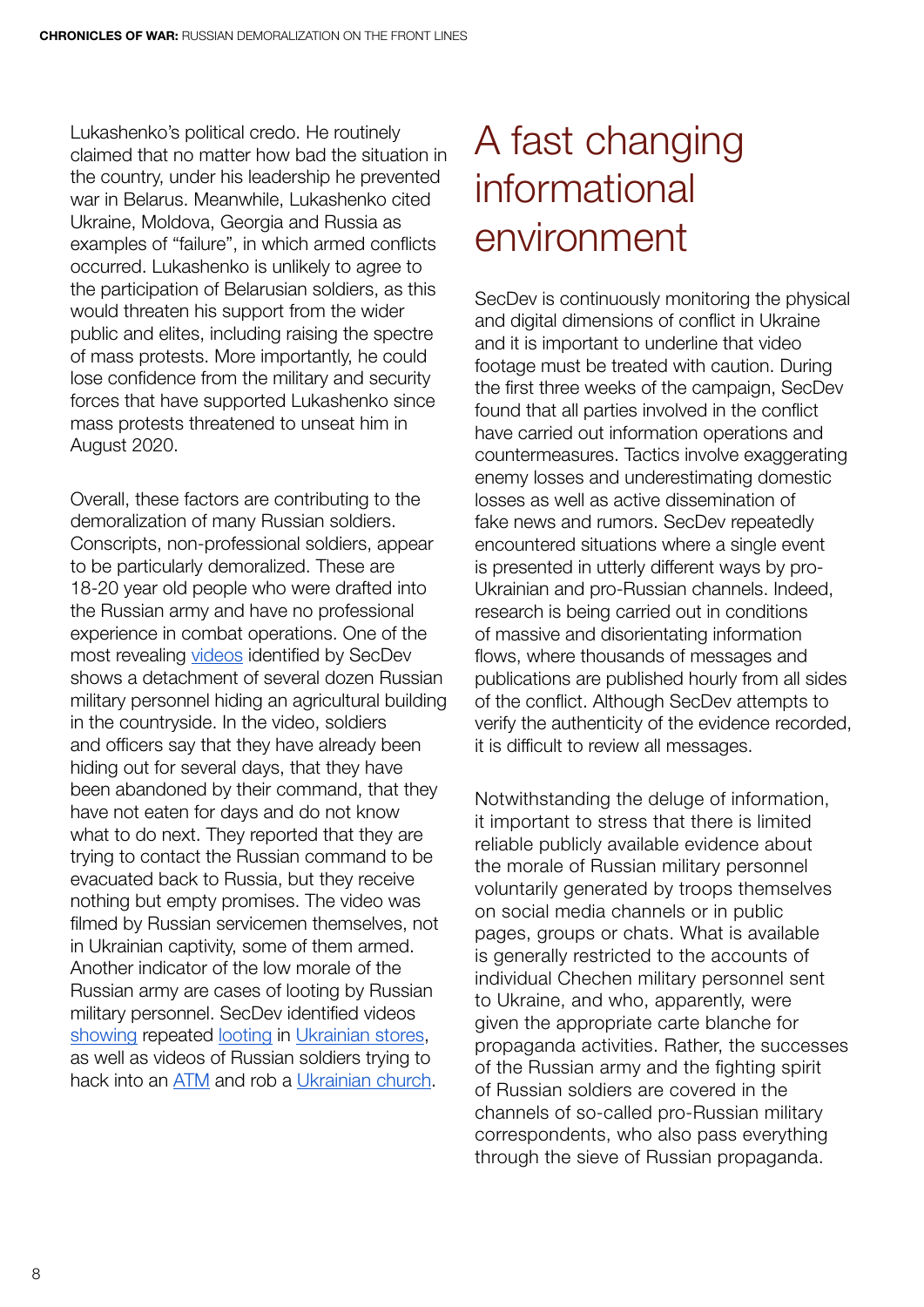<span id="page-9-0"></span>Lukashenko's political credo. He routinely claimed that no matter how bad the situation in the country, under his leadership he prevented war in Belarus. Meanwhile, Lukashenko cited Ukraine, Moldova, Georgia and Russia as examples of "failure", in which armed conflicts occurred. Lukashenko is unlikely to agree to the participation of Belarusian soldiers, as this would threaten his support from the wider public and elites, including raising the spectre of mass protests. More importantly, he could lose confidence from the military and security forces that have supported Lukashenko since mass protests threatened to unseat him in August 2020.

Overall, these factors are contributing to the demoralization of many Russian soldiers. Conscripts, non-professional soldiers, appear to be particularly demoralized. These are 18-20 year old people who were drafted into the Russian army and have no professional experience in combat operations. One of the most revealing [videos](https://twitter.com/GirkinGirkin/status/1499352556300079109) identified by SecDev shows a detachment of several dozen Russian military personnel hiding an agricultural building in the countryside. In the video, soldiers and officers say that they have already been hiding out for several days, that they have been abandoned by their command, that they have not eaten for days and do not know what to do next. They reported that they are trying to contact the Russian command to be evacuated back to Russia, but they receive nothing but empty promises. The video was filmed by Russian servicemen themselves, not in Ukrainian captivity, some of them armed. Another indicator of the low morale of the Russian army are cases of looting by Russian military personnel. SecDev identified videos [showing](https://t.me/uniannet/34010) repeated [looting](https://t.me/uniannet/33901) in [Ukrainian stores](https://t.me/uniannet/32986), as well as videos of Russian soldiers trying to hack into an [ATM](https://t.me/uniannet/32957) and rob a [Ukrainian church.](https://t.me/uniannet/33894)

#### A fast changing informational environment

SecDev is continuously monitoring the physical and digital dimensions of conflict in Ukraine and it is important to underline that video footage must be treated with caution. During the first three weeks of the campaign, SecDev found that all parties involved in the conflict have carried out information operations and countermeasures. Tactics involve exaggerating enemy losses and underestimating domestic losses as well as active dissemination of fake news and rumors. SecDev repeatedly encountered situations where a single event is presented in utterly different ways by pro-Ukrainian and pro-Russian channels. Indeed, research is being carried out in conditions of massive and disorientating information flows, where thousands of messages and publications are published hourly from all sides of the conflict. Although SecDev attempts to verify the authenticity of the evidence recorded, it is difficult to review all messages.

Notwithstanding the deluge of information, it important to stress that there is limited reliable publicly available evidence about the morale of Russian military personnel voluntarily generated by troops themselves on social media channels or in public pages, groups or chats. What is available is generally restricted to the accounts of individual Chechen military personnel sent to Ukraine, and who, apparently, were given the appropriate carte blanche for propaganda activities. Rather, the successes of the Russian army and the fighting spirit of Russian soldiers are covered in the channels of so-called pro-Russian military correspondents, who also pass everything through the sieve of Russian propaganda.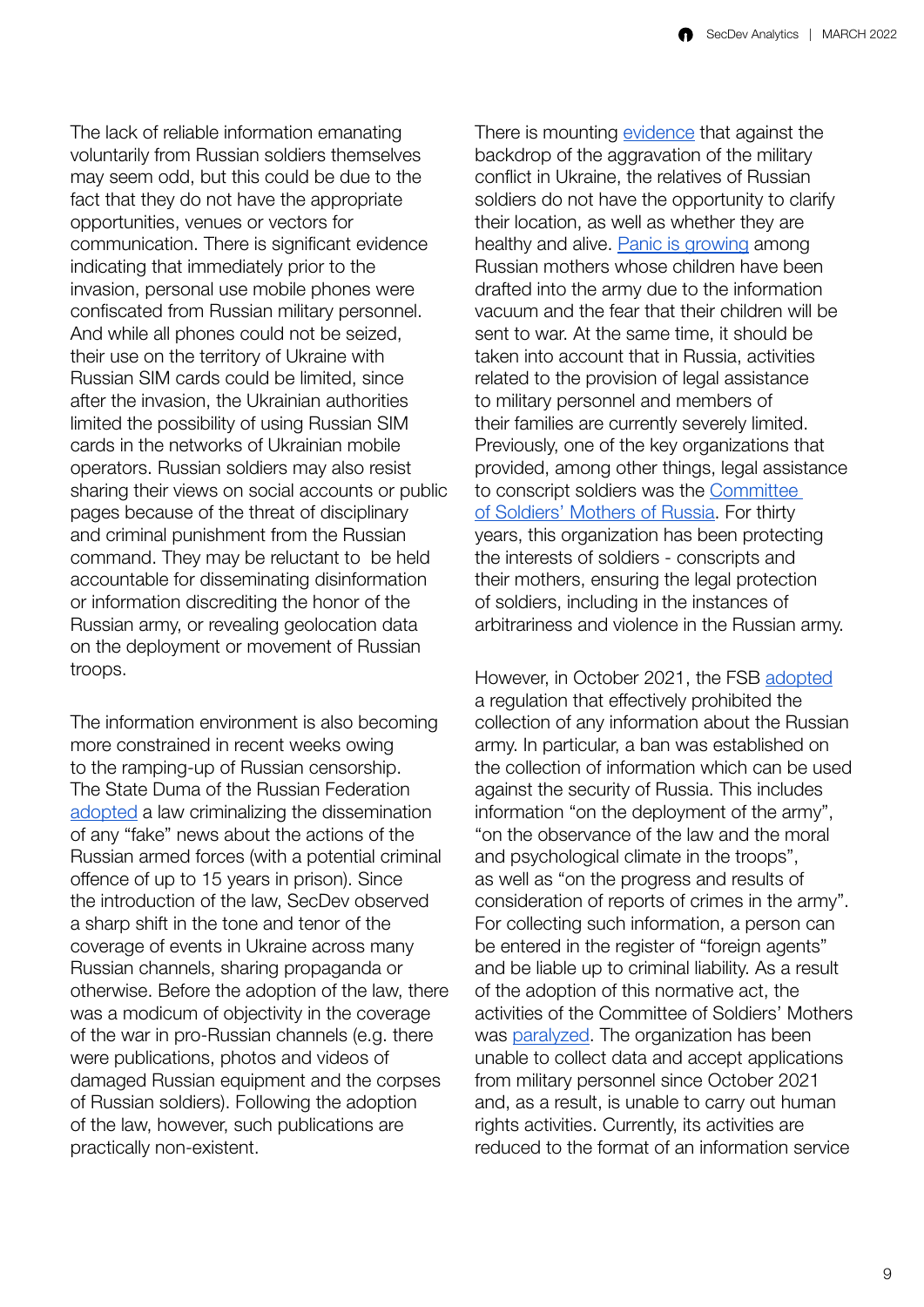The lack of reliable information emanating voluntarily from Russian soldiers themselves may seem odd, but this could be due to the fact that they do not have the appropriate opportunities, venues or vectors for communication. There is significant evidence indicating that immediately prior to the invasion, personal use mobile phones were confiscated from Russian military personnel. And while all phones could not be seized, their use on the territory of Ukraine with Russian SIM cards could be limited, since after the invasion, the Ukrainian authorities limited the possibility of using Russian SIM cards in the networks of Ukrainian mobile operators. Russian soldiers may also resist sharing their views on social accounts or public pages because of the threat of disciplinary and criminal punishment from the Russian command. They may be reluctant to be held accountable for disseminating disinformation or information discrediting the honor of the Russian army, or revealing geolocation data on the deployment or movement of Russian troops.

The information environment is also becoming more constrained in recent weeks owing to the ramping-up of Russian censorship. The State Duma of the Russian Federation [adopted](http://duma.gov.ru/news/53620/) a law criminalizing the dissemination of any "fake" news about the actions of the Russian armed forces (with a potential criminal offence of up to 15 years in prison). Since the introduction of the law, SecDev observed a sharp shift in the tone and tenor of the coverage of events in Ukraine across many Russian channels, sharing propaganda or otherwise. Before the adoption of the law, there was a modicum of objectivity in the coverage of the war in pro-Russian channels (e.g. there were publications, photos and videos of damaged Russian equipment and the corpses of Russian soldiers). Following the adoption of the law, however, such publications are practically non-existent.

There is mounting [evidence](https://meduza.io/feature/2022/02/24/u-menya-panika-gde-moy-rebenok) that against the backdrop of the aggravation of the military conflict in Ukraine, the relatives of Russian soldiers do not have the opportunity to clarify their location, as well as whether they are healthy and alive. [Panic is growing](https://meduza.io/feature/2022/02/25/oni-poluchaetsya-zaranee-vse-znali-i-nam-nichego-ne-skazali-a-ya-teper-syna-rodnogo-otdat-dolzhna-da) among Russian mothers whose children have been drafted into the army due to the information vacuum and the fear that their children will be sent to war. At the same time, it should be taken into account that in Russia, activities related to the provision of legal assistance to military personnel and members of their families are currently severely limited. Previously, one of the key organizations that provided, among other things, legal assistance to conscript soldiers was the [Committee](https://ksmrus.ru/)  [of Soldiers' Mothers of Russia.](https://ksmrus.ru/) For thirty years, this organization has been protecting the interests of soldiers - conscripts and their mothers, ensuring the legal protection of soldiers, including in the instances of arbitrariness and violence in the Russian army.

However, in October 2021, the FSB [adopted](https://meduza.io/news/2021/10/01/fsb-utverdila-perechen-nesekretnyh-dannyh-za-sbor-kotoryh-mozhno-stat-inostrannym-agentom) a regulation that effectively prohibited the collection of any information about the Russian army. In particular, a ban was established on the collection of information which can be used against the security of Russia. This includes information "on the deployment of the army", "on the observance of the law and the moral and psychological climate in the troops", as well as "on the progress and results of consideration of reports of crimes in the army". For collecting such information, a person can be entered in the register of "foreign agents" and be liable up to criminal liability. As a result of the adoption of this normative act, the activities of the Committee of Soldiers' Mothers was [paralyzed.](https://meduza.io/feature/2022/03/08/sdelayut-pohorony-s-pochestyami-pamyatnuyu-dosku-v-shkole-i-vse) The organization has been unable to collect data and accept applications from military personnel since October 2021 and, as a result, is unable to carry out human rights activities. Currently, its activities are reduced to the format of an information service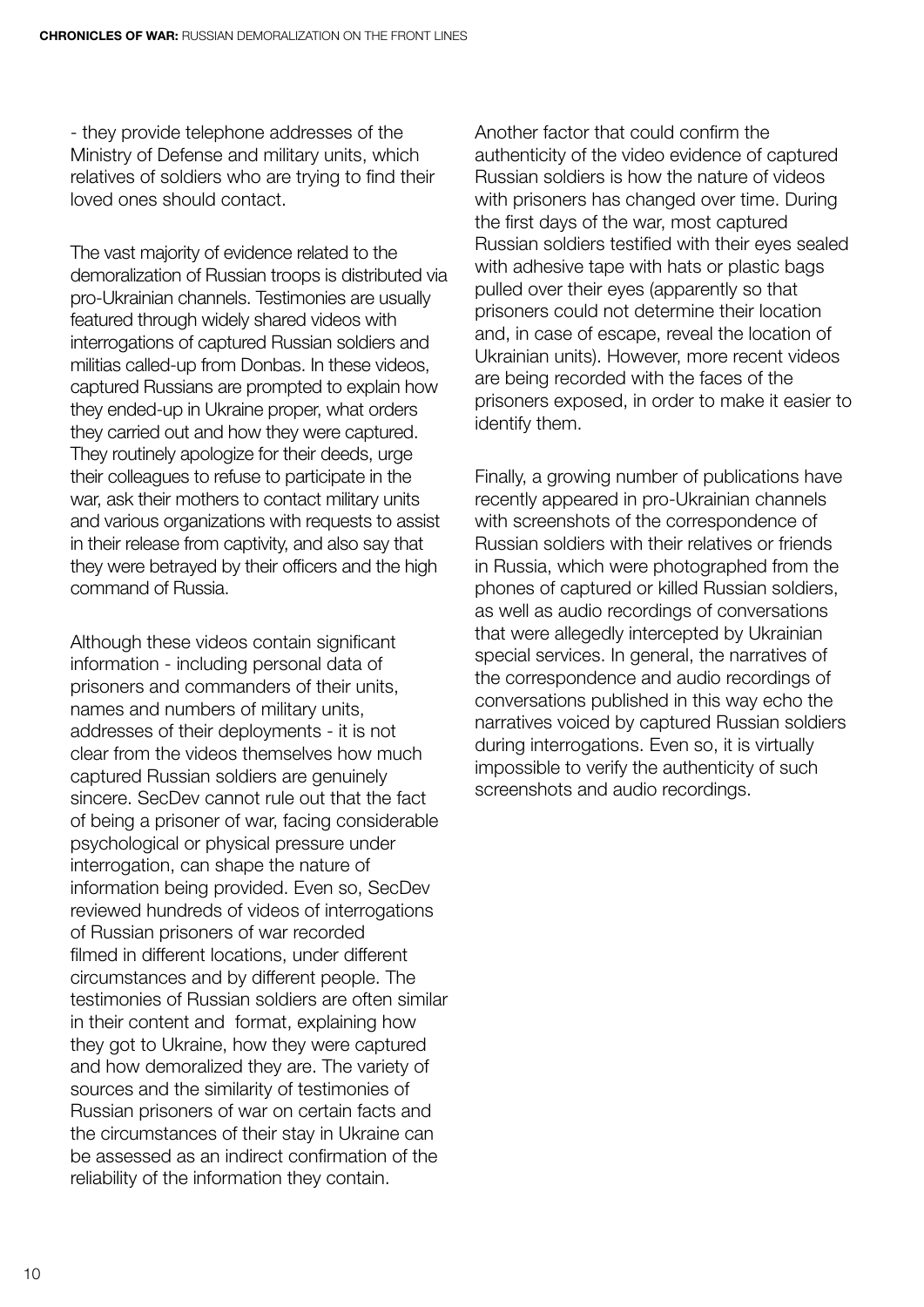- they provide telephone addresses of the Ministry of Defense and military units, which relatives of soldiers who are trying to find their loved ones should contact.

The vast majority of evidence related to the demoralization of Russian troops is distributed via pro-Ukrainian channels. Testimonies are usually featured through widely shared videos with interrogations of captured Russian soldiers and militias called-up from Donbas. In these videos, captured Russians are prompted to explain how they ended-up in Ukraine proper, what orders they carried out and how they were captured. They routinely apologize for their deeds, urge their colleagues to refuse to participate in the war, ask their mothers to contact military units and various organizations with requests to assist in their release from captivity, and also say that they were betrayed by their officers and the high command of Russia.

Although these videos contain significant information - including personal data of prisoners and commanders of their units, names and numbers of military units, addresses of their deployments - it is not clear from the videos themselves how much captured Russian soldiers are genuinely sincere. SecDev cannot rule out that the fact of being a prisoner of war, facing considerable psychological or physical pressure under interrogation, can shape the nature of information being provided. Even so, SecDev reviewed hundreds of videos of interrogations of Russian prisoners of war recorded filmed in different locations, under different circumstances and by different people. The testimonies of Russian soldiers are often similar in their content and format, explaining how they got to Ukraine, how they were captured and how demoralized they are. The variety of sources and the similarity of testimonies of Russian prisoners of war on certain facts and the circumstances of their stay in Ukraine can be assessed as an indirect confirmation of the reliability of the information they contain.

Another factor that could confirm the authenticity of the video evidence of captured Russian soldiers is how the nature of videos with prisoners has changed over time. During the first days of the war, most captured Russian soldiers testified with their eyes sealed with adhesive tape with hats or plastic bags pulled over their eyes (apparently so that prisoners could not determine their location and, in case of escape, reveal the location of Ukrainian units). However, more recent videos are being recorded with the faces of the prisoners exposed, in order to make it easier to identify them.

Finally, a growing number of publications have recently appeared in pro-Ukrainian channels with screenshots of the correspondence of Russian soldiers with their relatives or friends in Russia, which were photographed from the phones of captured or killed Russian soldiers, as well as audio recordings of conversations that were allegedly intercepted by Ukrainian special services. In general, the narratives of the correspondence and audio recordings of conversations published in this way echo the narratives voiced by captured Russian soldiers during interrogations. Even so, it is virtually impossible to verify the authenticity of such screenshots and audio recordings.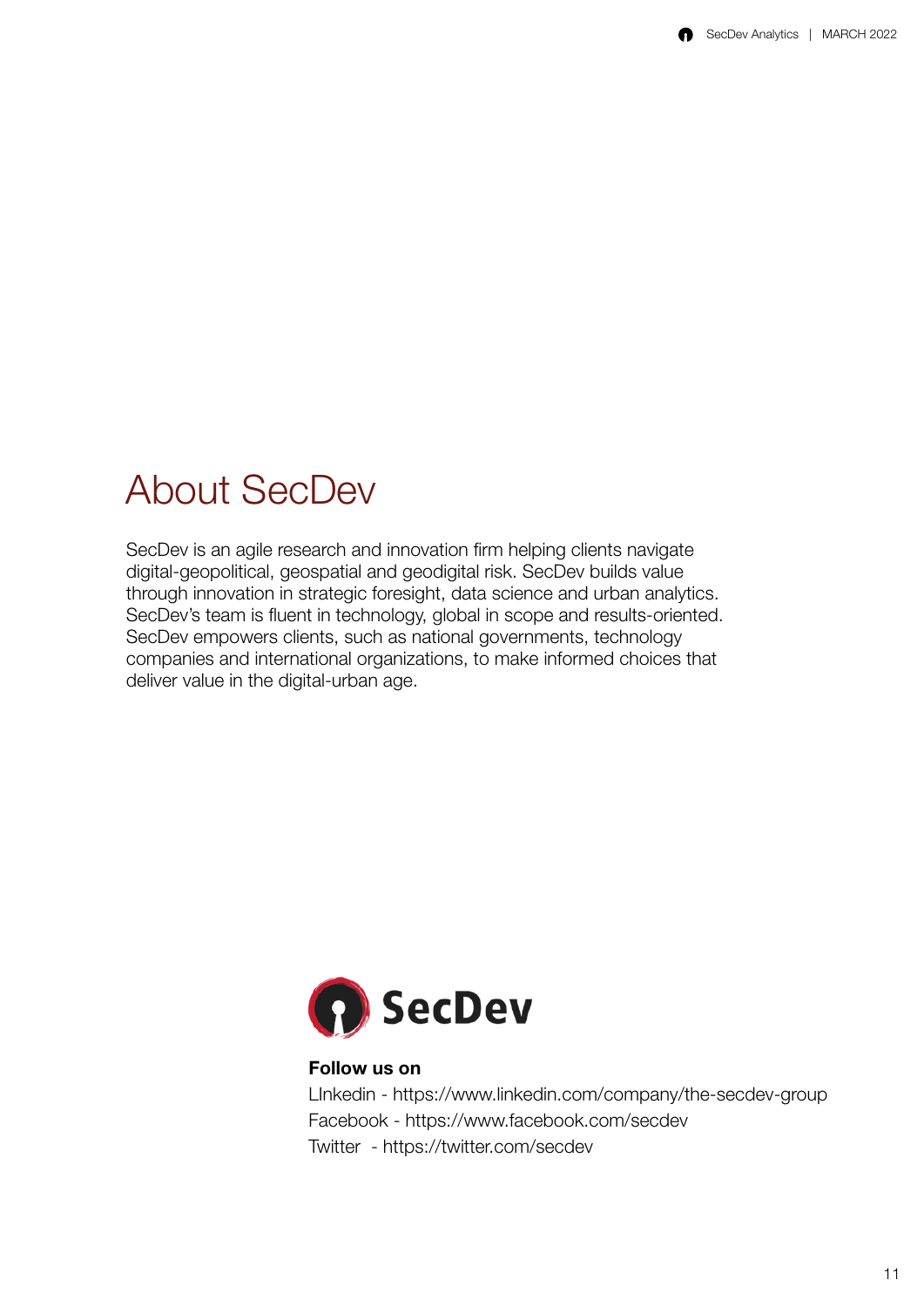#### <span id="page-12-0"></span>About SecDev

SecDev is an agile research and innovation firm helping clients navigate digital-geopolitical, geospatial and geodigital risk. SecDev builds value through innovation in strategic foresight, data science and urban analytics. SecDev's team is fluent in technology, global in scope and results-oriented. SecDev empowers clients, such as national governments, technology companies and international organizations, to make informed choices that deliver value in the digital-urban age.



#### Follow us on

LInkedin - https://www.linkedin.com/company/the-secdev-group Facebook - https://www.facebook.com/secdev Twitter - https://twitter.com/secdev